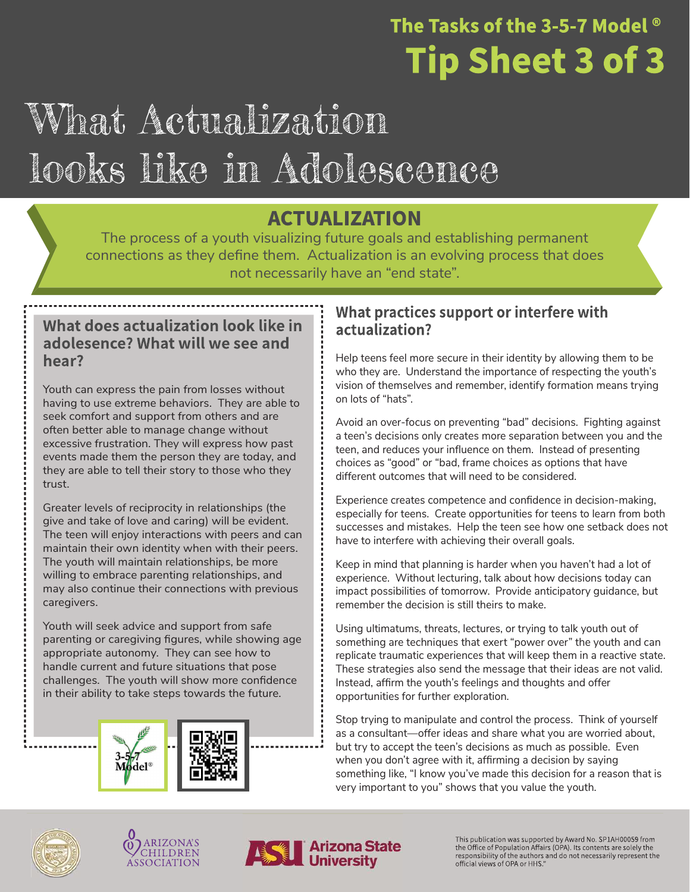### The Tasks of the 3-5-7 Model  $^{\circ}$ **Tip Sheet 3 of 3**

## What Actualization looks like in Adolescence

### **ACTUALIZATION**

The process of a youth visualizing future goals and establishing permanent connections as they define them. Actualization is an evolving process that does not necessarily have an "end state".

#### What does actualization look like in adolesence? What will we see and hear?

Youth can express the pain from losses without having to use extreme behaviors. They are able to seek comfort and support from others and are often better able to manage change without excessive frustration. They will express how past events made them the person they are today, and they are able to tell their story to those who they trust.

Greater levels of reciprocity in relationships (the give and take of love and caring) will be evident. The teen will enjoy interactions with peers and can maintain their own identity when with their peers. The youth will maintain relationships, be more willing to embrace parenting relationships, and may also continue their connections with previous caregivers.

Youth will seek advice and support from safe parenting or caregiving figures, while showing age appropriate autonomy. They can see how to handle current and future situations that pose challenges. The youth will show more confidence in their ability to take steps towards the future.



### What practices support or interfere with actualization?

Help teens feel more secure in their identity by allowing them to be who they are. Understand the importance of respecting the youth's vision of themselves and remember, identify formation means trying on lots of "hats".

Avoid an over-focus on preventing "bad" decisions. Fighting against a teen's decisions only creates more separation between you and the teen, and reduces your influence on them. Instead of presenting choices as "good" or "bad, frame choices as options that have different outcomes that will need to be considered.

Experience creates competence and confidence in decision-making, especially for teens. Create opportunities for teens to learn from both successes and mistakes. Help the teen see how one setback does not have to interfere with achieving their overall goals.

Keep in mind that planning is harder when you haven't had a lot of experience. Without lecturing, talk about how decisions today can impact possibilities of tomorrow. Provide anticipatory guidance, but remember the decision is still theirs to make.

Using ultimatums, threats, lectures, or trying to talk youth out of something are techniques that exert "power over" the youth and can replicate traumatic experiences that will keep them in a reactive state. These strategies also send the message that their ideas are not valid. Instead, affirm the youth's feelings and thoughts and offer opportunities for further exploration.

Stop trying to manipulate and control the process. Think of yourself as a consultant—offer ideas and share what you are worried about, but try to accept the teen's decisions as much as possible. Even when you don't agree with it, affirming a decision by saying something like, "I know you've made this decision for a reason that is very important to you" shows that you value the youth.







This publication was supported by Award No. SP1AH00059 from<br>the Office of Population Affairs (OPA). Its contents are solely the responsibility of the authors and do not necessarily represent the official views of OPA or HHS."